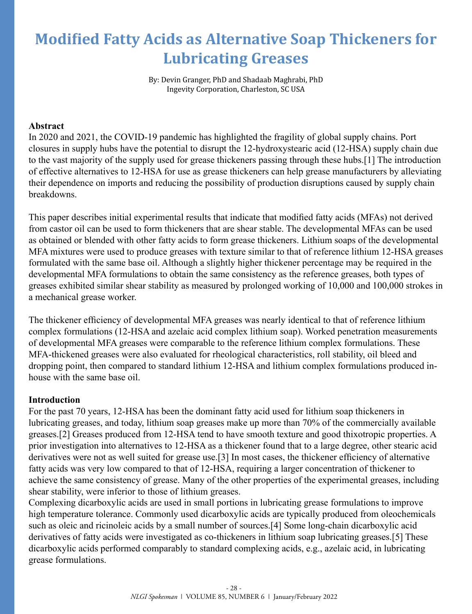# **Modified Fatty Acids as Alternative Soap Thickeners for Lubricating Greases**

By: Devin Granger, PhD and Shadaab Maghrabi, PhD Ingevity Corporation, Charleston, SC USA

#### **Abstract**

In 2020 and 2021, the COVID-19 pandemic has highlighted the fragility of global supply chains. Port closures in supply hubs have the potential to disrupt the 12-hydroxystearic acid (12-HSA) supply chain due to the vast majority of the supply used for grease thickeners passing through these hubs.[1] The introduction of effective alternatives to 12-HSA for use as grease thickeners can help grease manufacturers by alleviating their dependence on imports and reducing the possibility of production disruptions caused by supply chain breakdowns.

This paper describes initial experimental results that indicate that modified fatty acids (MFAs) not derived from castor oil can be used to form thickeners that are shear stable. The developmental MFAs can be used as obtained or blended with other fatty acids to form grease thickeners. Lithium soaps of the developmental MFA mixtures were used to produce greases with texture similar to that of reference lithium 12-HSA greases formulated with the same base oil. Although a slightly higher thickener percentage may be required in the developmental MFA formulations to obtain the same consistency as the reference greases, both types of greases exhibited similar shear stability as measured by prolonged working of 10,000 and 100,000 strokes in a mechanical grease worker.

The thickener efficiency of developmental MFA greases was nearly identical to that of reference lithium complex formulations (12-HSA and azelaic acid complex lithium soap). Worked penetration measurements of developmental MFA greases were comparable to the reference lithium complex formulations. These MFA-thickened greases were also evaluated for rheological characteristics, roll stability, oil bleed and dropping point, then compared to standard lithium 12-HSA and lithium complex formulations produced inhouse with the same base oil.

## **Introduction**

For the past 70 years, 12-HSA has been the dominant fatty acid used for lithium soap thickeners in lubricating greases, and today, lithium soap greases make up more than 70% of the commercially available greases.[2] Greases produced from 12-HSA tend to have smooth texture and good thixotropic properties. A prior investigation into alternatives to 12-HSA as a thickener found that to a large degree, other stearic acid derivatives were not as well suited for grease use.[3] In most cases, the thickener efficiency of alternative fatty acids was very low compared to that of 12-HSA, requiring a larger concentration of thickener to achieve the same consistency of grease. Many of the other properties of the experimental greases, including shear stability, were inferior to those of lithium greases.

Complexing dicarboxylic acids are used in small portions in lubricating grease formulations to improve high temperature tolerance. Commonly used dicarboxylic acids are typically produced from oleochemicals such as oleic and ricinoleic acids by a small number of sources.[4] Some long-chain dicarboxylic acid derivatives of fatty acids were investigated as co-thickeners in lithium soap lubricating greases.[5] These dicarboxylic acids performed comparably to standard complexing acids, e.g., azelaic acid, in lubricating grease formulations.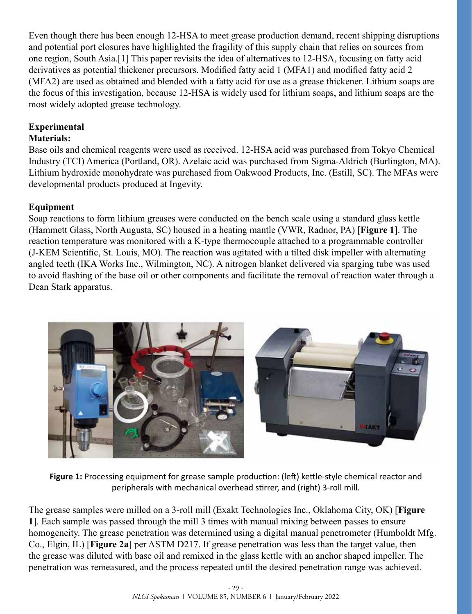Even though there has been enough 12-HSA to meet grease production demand, recent shipping disruptions and potential port closures have highlighted the fragility of this supply chain that relies on sources from one region, South Asia.[1] This paper revisits the idea of alternatives to 12-HSA, focusing on fatty acid derivatives as potential thickener precursors. Modified fatty acid 1 (MFA1) and modified fatty acid 2 (MFA2) are used as obtained and blended with a fatty acid for use as a grease thickener. Lithium soaps are the focus of this investigation, because 12-HSA is widely used for lithium soaps, and lithium soaps are the most widely adopted grease technology.

## **Experimental**

## **Materials:**

Base oils and chemical reagents were used as received. 12-HSA acid was purchased from Tokyo Chemical Industry (TCI) America (Portland, OR). Azelaic acid was purchased from Sigma-Aldrich (Burlington, MA). Lithium hydroxide monohydrate was purchased from Oakwood Products, Inc. (Estill, SC). The MFAs were developmental products produced at Ingevity.

## **Equipment**

Soap reactions to form lithium greases were conducted on the bench scale using a standard glass kettle (Hammett Glass, North Augusta, SC) housed in a heating mantle (VWR, Radnor, PA) [**[Figure 1](#page-1-0)**]. The reaction temperature was monitored with a K-type thermocouple attached to a programmable controller (J-KEM Scientific, St. Louis, MO). The reaction was agitated with a tilted disk impeller with alternating angled teeth (IKA Works Inc., Wilmington, NC). A nitrogen blanket delivered via sparging tube was used to avoid flashing of the base oil or other components and facilitate the removal of reaction water through a Dean Stark apparatus.



<span id="page-1-0"></span>**Figure 1:** Processing equipment for grease sample production: (left) kettle-style chemical reactor and peripherals with mechanical overhead stirrer, and (right) 3-roll mill.

The grease samples were milled on a 3-roll mill (Exakt Technologies Inc., Oklahoma City, OK) [**[Figure](#page-1-0)  [1](#page-1-0)**]. Each sample was passed through the mill 3 times with manual mixing between passes to ensure homogeneity. The grease penetration was determined using a digital manual penetrometer (Humboldt Mfg. Co., Elgin, IL) [**[Figure 2](#page-2-0)a**] per ASTM D217. If grease penetration was less than the target value, then the grease was diluted with base oil and remixed in the glass kettle with an anchor shaped impeller. The penetration was remeasured, and the process repeated until the desired penetration range was achieved.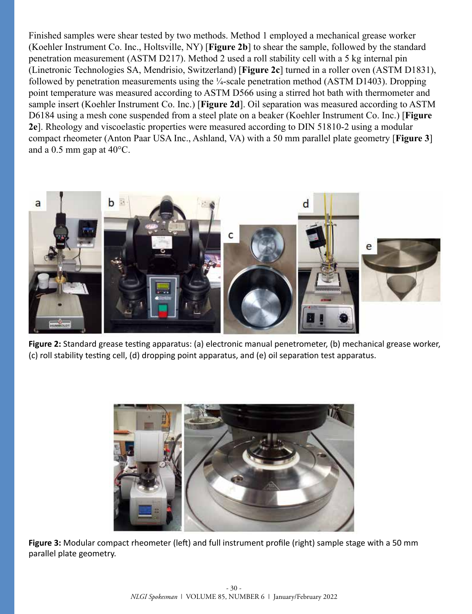Finished samples were shear tested by two methods. Method 1 employed a mechanical grease worker (Koehler Instrument Co. Inc., Holtsville, NY) [**[Figure 2](#page-2-0)b**] to shear the sample, followed by the standard penetration measurement (ASTM D217). Method 2 used a roll stability cell with a 5 kg internal pin (Linetronic Technologies SA, Mendrisio, Switzerland) [**[Figure 2](#page-2-0)c**] turned in a roller oven (ASTM D1831), followed by penetration measurements using the ¼-scale penetration method (ASTM D1403). Dropping point temperature was measured according to ASTM D566 using a stirred hot bath with thermometer and sample insert (Koehler Instrument Co. Inc.) [**[Figure 2](#page-2-0)d**]. Oil separation was measured according to ASTM D6184 using a mesh cone suspended from a steel plate on a beaker (Koehler Instrument Co. Inc.) [**[Figure](#page-2-0)  [2](#page-2-0)e**]. Rheology and viscoelastic properties were measured according to DIN 51810-2 using a modular compact rheometer (Anton Paar USA Inc., Ashland, VA) with a 50 mm parallel plate geometry [**[Figure 3](#page-2-1)**] and a 0.5 mm gap at 40°C.



<span id="page-2-0"></span>**Figure 2:** Standard grease testing apparatus: (a) electronic manual penetrometer, (b) mechanical grease worker, (c) roll stability testing cell, (d) dropping point apparatus, and (e) oil separation test apparatus.



<span id="page-2-1"></span>Figure 3: Modular compact rheometer (left) and full instrument profile (right) sample stage with a 50 mm parallel plate geometry.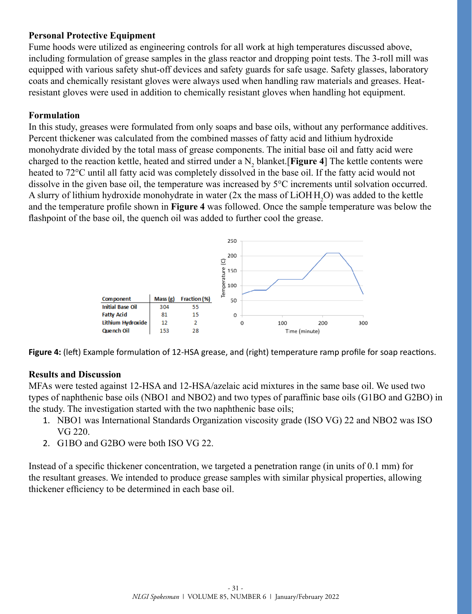## **Personal Protective Equipment**

Fume hoods were utilized as engineering controls for all work at high temperatures discussed above, including formulation of grease samples in the glass reactor and dropping point tests. The 3-roll mill was equipped with various safety shut-off devices and safety guards for safe usage. Safety glasses, laboratory coats and chemically resistant gloves were always used when handling raw materials and greases. Heatresistant gloves were used in addition to chemically resistant gloves when handling hot equipment.

## **Formulation**

In this study, greases were formulated from only soaps and base oils, without any performance additives. Percent thickener was calculated from the combined masses of fatty acid and lithium hydroxide monohydrate divided by the total mass of grease components. The initial base oil and fatty acid were charged to the reaction kettle, heated and stirred under a N<sub>2</sub> blanket.[**[Figure 4](#page-3-0)**] The kettle contents were heated to 72°C until all fatty acid was completely dissolved in the base oil. If the fatty acid would not dissolve in the given base oil, the temperature was increased by 5°C increments until solvation occurred. A slurry of lithium hydroxide monohydrate in water  $(2x$  the mass of  $LiOHH_2O$ ) was added to the kettle and the temperature profile shown in **[Figure 4](#page-3-0)** was followed. Once the sample temperature was below the flashpoint of the base oil, the quench oil was added to further cool the grease.



<span id="page-3-0"></span>**Figure 4:** (left) Example formulation of 12-HSA grease, and (right) temperature ramp profile for soap reactions.

#### **Results and Discussion**

MFAs were tested against 12-HSA and 12-HSA/azelaic acid mixtures in the same base oil. We used two types of naphthenic base oils (NBO1 and NBO2) and two types of paraffinic base oils (G1BO and G2BO) in the study. The investigation started with the two naphthenic base oils;

- 1. NBO1 was International Standards Organization viscosity grade (ISO VG) 22 and NBO2 was ISO VG 220.
- 2. G1BO and G2BO were both ISO VG 22.

Instead of a specific thickener concentration, we targeted a penetration range (in units of 0.1 mm) for the resultant greases. We intended to produce grease samples with similar physical properties, allowing thickener efficiency to be determined in each base oil.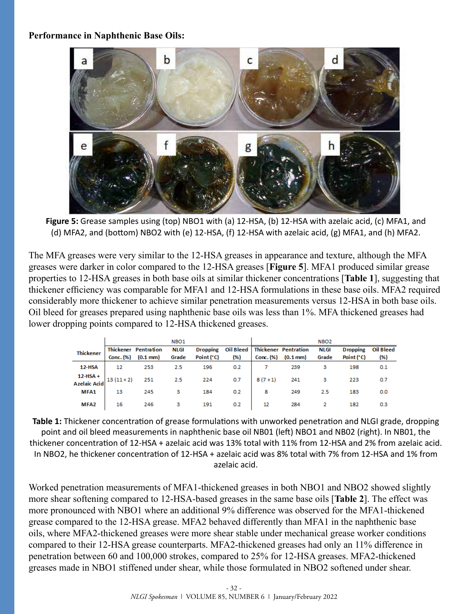#### **Performance in Naphthenic Base Oils:**



<span id="page-4-0"></span>**Figure 5:** Grease samples using (top) NBO1 with (a) 12-HSA, (b) 12-HSA with azelaic acid, (c) MFA1, and (d) MFA2, and (bottom) NBO2 with (e) 12-HSA, (f) 12-HSA with azelaic acid, (g) MFA1, and (h) MFA2.

The MFA greases were very similar to the 12-HSA greases in appearance and texture, although the MFA greases were darker in color compared to the 12-HSA greases [**[Figure 5](#page-4-0)**]. MFA1 produced similar grease properties to 12-HSA greases in both base oils at similar thickener concentrations [**[Table 1](#page-4-1)**], suggesting that thickener efficiency was comparable for MFA1 and 12-HSA formulations in these base oils. MFA2 required considerably more thickener to achieve similar penetration measurements versus 12-HSA in both base oils. Oil bleed for greases prepared using naphthenic base oils was less than 1%. MFA thickened greases had lower dropping points compared to 12-HSA thickened greases.

|                                   |            |                             | NBO <sub>1</sub> |                 |     |          |                                  | NBO <sub>2</sub> |                 |           |
|-----------------------------------|------------|-----------------------------|------------------|-----------------|-----|----------|----------------------------------|------------------|-----------------|-----------|
| <b>Thickener</b>                  |            | <b>Thickener Pentration</b> | <b>NLGI</b>      | <b>Dropping</b> |     |          | Oil Bleed   Thickener Pentration | <b>NLGI</b>      | <b>Dropping</b> | Oil Bleed |
|                                   | Conc. (%)  | $(0.1 \text{ mm})$          | Grade            | Point (°C)      | (%) |          | Conc. $(\%)$ $(0.1 \text{ mm})$  | Grade            | Point (°C)      | (%)       |
| 12-HSA                            | 12         | 253                         | 2.5              | 196             | 0.2 |          | 239                              | з                | 198             | 0.1       |
| $12-HSA +$<br><b>Azelaic Acid</b> | $13(11+2)$ | 251                         | 2.5              | 224             | 0.7 | $8(7+1)$ | 241                              | з                | 223             | 0.7       |
| MFA1                              | 13         | 245                         | з                | 184             | 0.2 | 8        | 249                              | 2.5              | 183             | 0.0       |
| MFA <sub>2</sub>                  | 16         | 246                         | з                | 191             | 0.2 | 12       | 284                              |                  | 182             | 0.3       |

<span id="page-4-1"></span>**Table 1:** Thickener concentration of grease formulations with unworked penetration and NLGI grade, dropping point and oil bleed measurements in naphthenic base oil NB01 (left) NBO1 and NB02 (right). In NB01, the thickener concentration of 12-HSA + azelaic acid was 13% total with 11% from 12-HSA and 2% from azelaic acid. In NBO2, he thickener concentration of 12-HSA + azelaic acid was 8% total with 7% from 12-HSA and 1% from azelaic acid.

Worked penetration measurements of MFA1-thickened greases in both NBO1 and NBO2 showed slightly more shear softening compared to 12-HSA-based greases in the same base oils [**[Table 2](#page-5-0)**]. The effect was more pronounced with NBO1 where an additional 9% difference was observed for the MFA1-thickened grease compared to the 12-HSA grease. MFA2 behaved differently than MFA1 in the naphthenic base oils, where MFA2-thickened greases were more shear stable under mechanical grease worker conditions compared to their 12-HSA grease counterparts. MFA2-thickened greases had only an 11% difference in penetration between 60 and 100,000 strokes, compared to 25% for 12-HSA greases. MFA2-thickened greases made in NBO1 stiffened under shear, while those formulated in NBO2 softened under shear.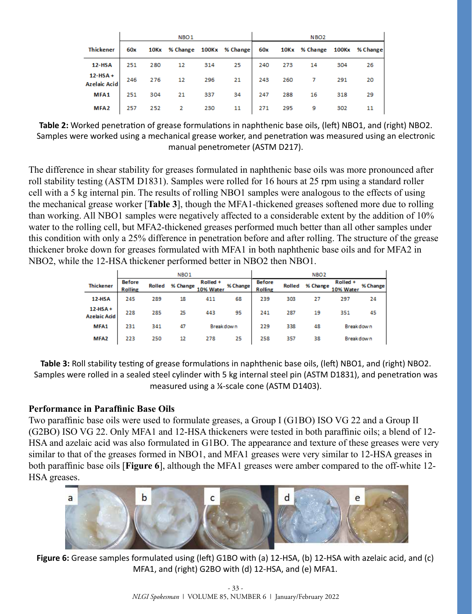|                                   | NBO <sub>1</sub> |     |                                                               |     |    |     | NBO <sub>2</sub> |    |     |    |  |
|-----------------------------------|------------------|-----|---------------------------------------------------------------|-----|----|-----|------------------|----|-----|----|--|
| <b>Thickener</b>                  | 60x              |     | 10Kx % Change 100Kx % Change 60x 10Kx % Change 100Kx % Change |     |    |     |                  |    |     |    |  |
| <b>12-HSA</b>                     | 251              | 280 | 12                                                            | 314 | 25 | 240 | 273              | 14 | 304 | 26 |  |
| $12-HSA +$<br><b>Azelaic Acid</b> | 246              | 276 | $12 \qquad 296 \qquad .$                                      |     | 21 | 243 | 260              |    | 291 | 20 |  |
| MFA1                              | 251              | 304 | 21                                                            | 337 | 34 | 247 | 288              | 16 | 318 | 29 |  |
| MFA <sub>2</sub>                  | 257              | 252 | $\overline{2}$                                                | 230 | 11 | 271 | 295              | 9  | 302 | 11 |  |

<span id="page-5-0"></span>**Table 2:** Worked penetration of grease formulations in naphthenic base oils, (left) NBO1, and (right) NBO2. Samples were worked using a mechanical grease worker, and penetration was measured using an electronic manual penetrometer (ASTM D217).

The difference in shear stability for greases formulated in naphthenic base oils was more pronounced after roll stability testing (ASTM D1831). Samples were rolled for 16 hours at 25 rpm using a standard roller cell with a 5 kg internal pin. The results of rolling NBO1 samples were analogous to the effects of using the mechanical grease worker [**[Table 3](#page-5-1)**], though the MFA1-thickened greases softened more due to rolling than working. All NBO1 samples were negatively affected to a considerable extent by the addition of 10% water to the rolling cell, but MFA2-thickened greases performed much better than all other samples under this condition with only a 25% difference in penetration before and after rolling. The structure of the grease thickener broke down for greases formulated with MFA1 in both naphthenic base oils and for MFA2 in NBO2, while the 12-HSA thickener performed better in NBO2 then NBO1.

|                                  | NBO <sub>1</sub>                |        |          |                       |          |                                 | NBO <sub>2</sub> |          |                       |          |  |
|----------------------------------|---------------------------------|--------|----------|-----------------------|----------|---------------------------------|------------------|----------|-----------------------|----------|--|
| <b>Thickener</b>                 | <b>Before</b><br><b>Rolling</b> | Rolled | % Change | Rolled +<br>10% Water | % Change | <b>Before</b><br><b>Rolling</b> | Rolled           | % Change | Rolled +<br>10% Water | % Change |  |
| 12-HSA                           | 245                             | 289    | 18       | 411                   | 68       | 239                             | 303              | 27       | 297                   | 24       |  |
| $12-HSA+$<br><b>Azelaic Acid</b> | 228                             | 285    | 25       | 443                   | 95       | 241                             | 287              | 19       | 351                   | 45       |  |
| MFA1                             | 231                             | 341    | 47       | <b>Breakdown</b>      |          | 229                             | 338              | 48       | <b>Breakdown</b>      |          |  |
| MFA <sub>2</sub>                 | 223                             | 250    | 12       | 278                   | 25       | 258                             | 357              | 38       | Breakdown             |          |  |

<span id="page-5-1"></span>**Table 3:** Roll stability testing of grease formulations in naphthenic base oils, (left) NBO1, and (right) NBO2. Samples were rolled in a sealed steel cylinder with 5 kg internal steel pin (ASTM D1831), and penetration was measured using a ¼-scale cone (ASTM D1403).

#### **Performance in Paraffinic Base Oils**

Two paraffinic base oils were used to formulate greases, a Group I (G1BO) ISO VG 22 and a Group II (G2BO) ISO VG 22. Only MFA1 and 12-HSA thickeners were tested in both paraffinic oils; a blend of 12- HSA and azelaic acid was also formulated in G1BO. The appearance and texture of these greases were very similar to that of the greases formed in NBO1, and MFA1 greases were very similar to 12-HSA greases in both paraffinic base oils [**[Figure 6](#page-5-2)**], although the MFA1 greases were amber compared to the off-white 12- HSA greases.

<span id="page-5-2"></span>

**Figure 6:** Grease samples formulated using (left) G1BO with (a) 12-HSA, (b) 12-HSA with azelaic acid, and (c) MFA1, and (right) G2BO with (d) 12-HSA, and (e) MFA1.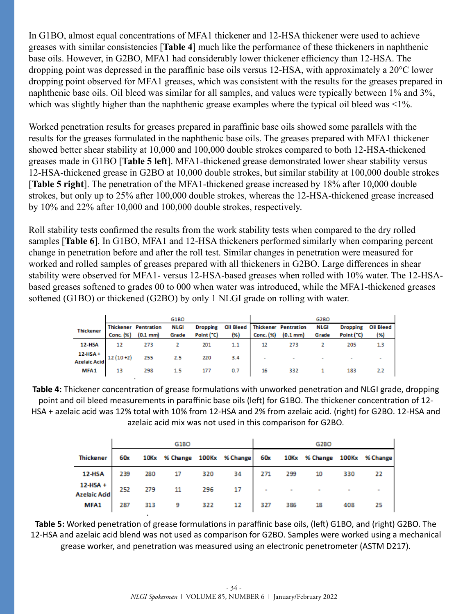In G1BO, almost equal concentrations of MFA1 thickener and 12-HSA thickener were used to achieve greases with similar consistencies [**[Table 4](#page-6-0)**] much like the performance of these thickeners in naphthenic base oils. However, in G2BO, MFA1 had considerably lower thickener efficiency than 12-HSA. The dropping point was depressed in the paraffinic base oils versus 12-HSA, with approximately a 20°C lower dropping point observed for MFA1 greases, which was consistent with the results for the greases prepared in naphthenic base oils. Oil bleed was similar for all samples, and values were typically between 1% and 3%, which was slightly higher than the naphthenic grease examples where the typical oil bleed was <1%.

Worked penetration results for greases prepared in paraffinic base oils showed some parallels with the results for the greases formulated in the naphthenic base oils. The greases prepared with MFA1 thickener showed better shear stability at 10,000 and 100,000 double strokes compared to both 12-HSA-thickened greases made in G1BO [**[Table 5](#page-6-1) left**]. MFA1-thickened grease demonstrated lower shear stability versus 12-HSA-thickened grease in G2BO at 10,000 double strokes, but similar stability at 100,000 double strokes [**[Table 5](#page-6-1) right**]. The penetration of the MFA1-thickened grease increased by 18% after 10,000 double strokes, but only up to 25% after 100,000 double strokes, whereas the 12-HSA-thickened grease increased by 10% and 22% after 10,000 and 100,000 double strokes, respectively.

Roll stability tests confirmed the results from the work stability tests when compared to the dry rolled samples [**[Table 6](#page-7-0)**]. In G1BO, MFA1 and 12-HSA thickeners performed similarly when comparing percent change in penetration before and after the roll test. Similar changes in penetration were measured for worked and rolled samples of greases prepared with all thickeners in G2BO. Large differences in shear stability were observed for MFA1- versus 12-HSA-based greases when rolled with 10% water. The 12-HSAbased greases softened to grades 00 to 000 when water was introduced, while the MFA1-thickened greases softened (G1BO) or thickened (G2BO) by only 1 NLGI grade on rolling with water.

|                     |            |                                                   | G1BO          |                               |                    |           |                                                   | G2BO          |                               |                  |
|---------------------|------------|---------------------------------------------------|---------------|-------------------------------|--------------------|-----------|---------------------------------------------------|---------------|-------------------------------|------------------|
| <b>Thickener</b>    | Conc. (%)  | <b>Thickener Pentration</b><br>$(0.1 \text{ mm})$ | NLGI<br>Grade | <b>Dropping</b><br>Point ("C) | Oil Bleed<br>$(*)$ | Conc. (%) | <b>Thickener Pentration</b><br>$(0.1 \text{ mm})$ | NLGI<br>Grade | <b>Dropping</b><br>Point ("C) | Oil Bleed<br>(%) |
| <b>12-HSA</b>       | 12         | 273                                               |               | 201                           | 1.1                | 12        | 273                                               |               | 205                           |                  |
| $12-HSA+$           |            |                                                   |               |                               |                    |           |                                                   |               |                               |                  |
| <b>Azelaic Acid</b> | $12(10+2)$ | 255                                               | 2.5           | 220                           | 3.4                | ٠         | ۰                                                 |               |                               |                  |
| MFA <sub>1</sub>    | 13         | 298                                               |               | 177                           | 0.7                | 16        | 332                                               |               | 183                           |                  |

**Table 4:** Thickener concentration of grease formulations with unworked penetration and NLGI grade, dropping point and oil bleed measurements in paraffinic base oils (left) for G1BO. The thickener concentration of 12- HSA + azelaic acid was 12% total with 10% from 12-HSA and 2% from azelaic acid. (right) for G2BO. 12-HSA and azelaic acid mix was not used in this comparison for G2BO.

<span id="page-6-0"></span>

|                                 |     |     | G1BO                         |     |    |     |     | G2BO                             |     |    |
|---------------------------------|-----|-----|------------------------------|-----|----|-----|-----|----------------------------------|-----|----|
| <b>Thickener</b>                | 60x |     | 10Kx % Change 100Kx % Change |     |    |     |     | 60x 10Kx % Change 100Kx % Change |     |    |
| 12-HSA                          | 239 | 280 | 17                           | 320 | 34 | 271 | 299 | 10                               | 330 | 22 |
| 12-HSA +<br><b>Azelaic Acid</b> | 252 | 279 | 11                           | 296 | 17 | ۰   |     | <b>Contract</b>                  |     |    |
| MFA1                            | 287 | 313 | 9                            | 322 | 12 | 327 | 386 | 18                               | 408 | 25 |

<span id="page-6-1"></span>**Table 5:** Worked penetration of grease formulations in paraffinic base oils, (left) G1BO, and (right) G2BO. The 12-HSA and azelaic acid blend was not used as comparison for G2BO. Samples were worked using a mechanical grease worker, and penetration was measured using an electronic penetrometer (ASTM D217).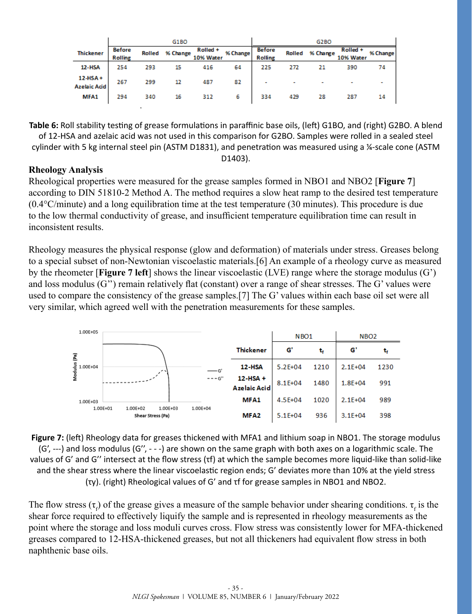|                                  |                                 |     | G1BO            |                       |          |                                 |                          | G2BO            |                       |          |
|----------------------------------|---------------------------------|-----|-----------------|-----------------------|----------|---------------------------------|--------------------------|-----------------|-----------------------|----------|
| <b>Thickener</b>                 | <b>Before</b><br><b>Rolling</b> |     | Rolled % Change | Rolled +<br>10% Water | % Change | <b>Before</b><br><b>Rolling</b> |                          | Rolled % Change | Rolled +<br>10% Water | % Change |
| 12-HSA                           | 254                             | 293 | 15              | 416                   | 64       | 225                             | 272                      | 21              | 390                   | 74       |
| $12-HSA+$<br><b>Azelaic Acid</b> | 267                             | 299 | 12              | 487                   | 82       |                                 | $\overline{\phantom{a}}$ |                 |                       |          |
| MFA1                             | 294                             | 340 | 16              | 312                   | 6        | 334                             | 429                      | 28              | 287                   | 14       |

<span id="page-7-0"></span>**Table 6:** Roll stability testing of grease formulations in paraffinic base oils, (left) G1BO, and (right) G2BO. A blend of 12-HSA and azelaic acid was not used in this comparison for G2BO. Samples were rolled in a sealed steel cylinder with 5 kg internal steel pin (ASTM D1831), and penetration was measured using a ¼-scale cone (ASTM D1403).

#### **Rheology Analysis**

Rheological properties were measured for the grease samples formed in NBO1 and NBO2 [**[Figure 7](#page-7-1)**] according to DIN 51810-2 Method A. The method requires a slow heat ramp to the desired test temperature (0.4°C/minute) and a long equilibration time at the test temperature (30 minutes). This procedure is due to the low thermal conductivity of grease, and insufficient temperature equilibration time can result in inconsistent results.

Rheology measures the physical response (glow and deformation) of materials under stress. Greases belong to a special subset of non-Newtonian viscoelastic materials.[6] An example of a rheology curve as measured by the rheometer [**[Figure 7](#page-7-1) left**] shows the linear viscoelastic (LVE) range where the storage modulus (G') and loss modulus (G'') remain relatively flat (constant) over a range of shear stresses. The G' values were used to compare the consistency of the grease samples.[7] The G' values within each base oil set were all very similar, which agreed well with the penetration measurements for these samples.



<span id="page-7-1"></span>**Figure 7:** (left) Rheology data for greases thickened with MFA1 and lithium soap in NBO1. The storage modulus (G', ---) and loss modulus (G'', - - -) are shown on the same graph with both axes on a logarithmic scale. The values of G' and G'' intersect at the flow stress (τf) at which the sample becomes more liquid-like than solid-like and the shear stress where the linear viscoelastic region ends; G' deviates more than 10% at the yield stress (τy). (right) Rheological values of G' and τf for grease samples in NBO1 and NBO2.

The flow stress  $(\tau_f)$  of the grease gives a measure of the sample behavior under shearing conditions.  $\tau_f$  is the shear force required to effectively liquify the sample and is represented in rheology measurements as the point where the storage and loss moduli curves cross. Flow stress was consistently lower for MFA-thickened greases compared to 12-HSA-thickened greases, but not all thickeners had equivalent flow stress in both naphthenic base oils.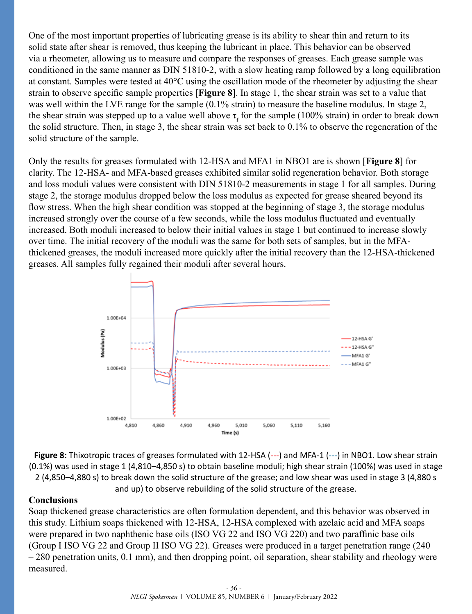One of the most important properties of lubricating grease is its ability to shear thin and return to its solid state after shear is removed, thus keeping the lubricant in place. This behavior can be observed via a rheometer, allowing us to measure and compare the responses of greases. Each grease sample was conditioned in the same manner as DIN 51810-2, with a slow heating ramp followed by a long equilibration at constant. Samples were tested at 40°C using the oscillation mode of the rheometer by adjusting the shear strain to observe specific sample properties [**[Figure 8](#page-8-0)**]. In stage 1, the shear strain was set to a value that was well within the LVE range for the sample (0.1% strain) to measure the baseline modulus. In stage 2, the shear strain was stepped up to a value well above  $\tau_f$  for the sample (100% strain) in order to break down the solid structure. Then, in stage 3, the shear strain was set back to 0.1% to observe the regeneration of the solid structure of the sample.

Only the results for greases formulated with 12-HSA and MFA1 in NBO1 are is shown [**[Figure 8](#page-8-0)**] for clarity. The 12-HSA- and MFA-based greases exhibited similar solid regeneration behavior. Both storage and loss moduli values were consistent with DIN 51810-2 measurements in stage 1 for all samples. During stage 2, the storage modulus dropped below the loss modulus as expected for grease sheared beyond its flow stress. When the high shear condition was stopped at the beginning of stage 3, the storage modulus increased strongly over the course of a few seconds, while the loss modulus fluctuated and eventually increased. Both moduli increased to below their initial values in stage 1 but continued to increase slowly over time. The initial recovery of the moduli was the same for both sets of samples, but in the MFAthickened greases, the moduli increased more quickly after the initial recovery than the 12-HSA-thickened greases. All samples fully regained their moduli after several hours.



<span id="page-8-0"></span>**Figure 8:** Thixotropic traces of greases formulated with 12-HSA (---) and MFA-1 (---) in NBO1. Low shear strain (0.1%) was used in stage 1 (4,810–4,850 s) to obtain baseline moduli; high shear strain (100%) was used in stage 2 (4,850–4,880 s) to break down the solid structure of the grease; and low shear was used in stage 3 (4,880 s and up) to observe rebuilding of the solid structure of the grease.

#### **Conclusions**

Soap thickened grease characteristics are often formulation dependent, and this behavior was observed in this study. Lithium soaps thickened with 12-HSA, 12-HSA complexed with azelaic acid and MFA soaps were prepared in two naphthenic base oils (ISO VG 22 and ISO VG 220) and two paraffinic base oils (Group I ISO VG 22 and Group II ISO VG 22). Greases were produced in a target penetration range (240 – 280 penetration units, 0.1 mm), and then dropping point, oil separation, shear stability and rheology were measured.